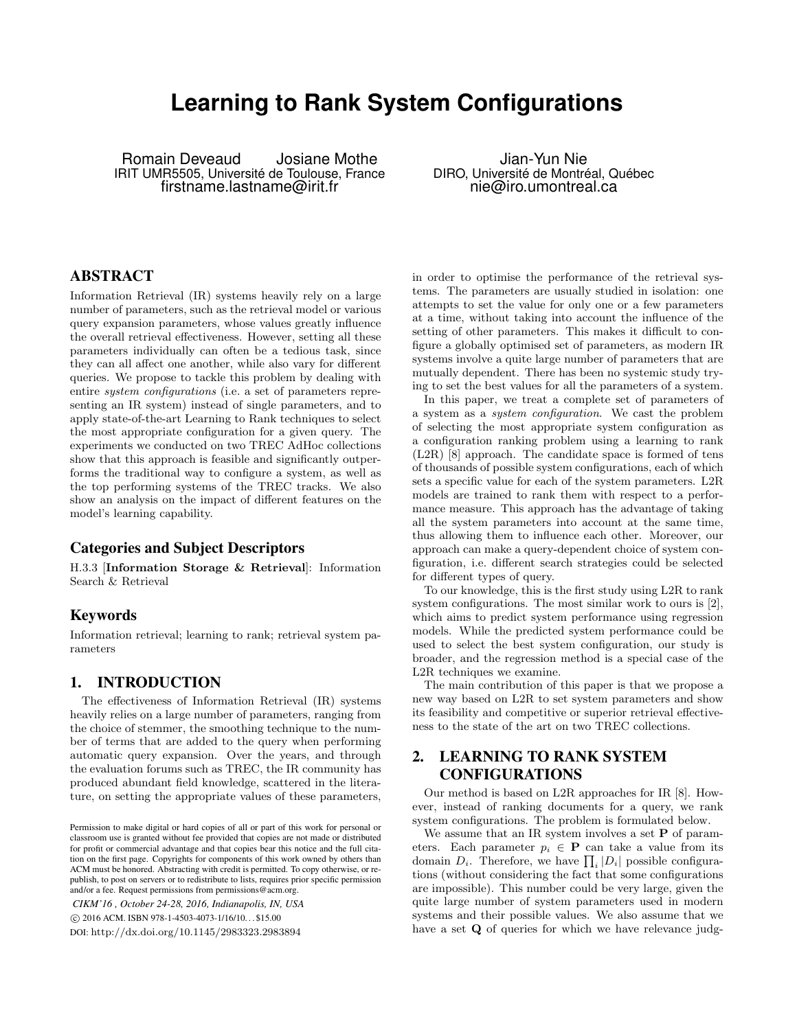# **Learning to Rank System Configurations**

Romain Deveaud Josiane Mothe IRIT UMR5505, Université de Toulouse, France firstname.lastname@irit.fr

Jian-Yun Nie DIRO, Université de Montréal, Québec nie@iro.umontreal.ca

## ABSTRACT

Information Retrieval (IR) systems heavily rely on a large number of parameters, such as the retrieval model or various query expansion parameters, whose values greatly influence the overall retrieval effectiveness. However, setting all these parameters individually can often be a tedious task, since they can all affect one another, while also vary for different queries. We propose to tackle this problem by dealing with entire system configurations (i.e. a set of parameters representing an IR system) instead of single parameters, and to apply state-of-the-art Learning to Rank techniques to select the most appropriate configuration for a given query. The experiments we conducted on two TREC AdHoc collections show that this approach is feasible and significantly outperforms the traditional way to configure a system, as well as the top performing systems of the TREC tracks. We also show an analysis on the impact of different features on the model's learning capability.

#### Categories and Subject Descriptors

H.3.3 [Information Storage & Retrieval]: Information Search & Retrieval

## Keywords

Information retrieval; learning to rank; retrieval system parameters

## 1. INTRODUCTION

The effectiveness of Information Retrieval (IR) systems heavily relies on a large number of parameters, ranging from the choice of stemmer, the smoothing technique to the number of terms that are added to the query when performing automatic query expansion. Over the years, and through the evaluation forums such as TREC, the IR community has produced abundant field knowledge, scattered in the literature, on setting the appropriate values of these parameters,

*CIKM'16 , October 24-28, 2016, Indianapolis, IN, USA* c 2016 ACM. ISBN 978-1-4503-4073-1/16/10. . . \$15.00 DOI: http://dx.doi.org/10.1145/2983323.2983894

in order to optimise the performance of the retrieval systems. The parameters are usually studied in isolation: one attempts to set the value for only one or a few parameters at a time, without taking into account the influence of the setting of other parameters. This makes it difficult to configure a globally optimised set of parameters, as modern IR systems involve a quite large number of parameters that are mutually dependent. There has been no systemic study trying to set the best values for all the parameters of a system.

In this paper, we treat a complete set of parameters of a system as a system configuration. We cast the problem of selecting the most appropriate system configuration as a configuration ranking problem using a learning to rank (L2R) [8] approach. The candidate space is formed of tens of thousands of possible system configurations, each of which sets a specific value for each of the system parameters. L2R models are trained to rank them with respect to a performance measure. This approach has the advantage of taking all the system parameters into account at the same time, thus allowing them to influence each other. Moreover, our approach can make a query-dependent choice of system configuration, i.e. different search strategies could be selected for different types of query.

To our knowledge, this is the first study using L2R to rank system configurations. The most similar work to ours is [2], which aims to predict system performance using regression models. While the predicted system performance could be used to select the best system configuration, our study is broader, and the regression method is a special case of the L2R techniques we examine.

The main contribution of this paper is that we propose a new way based on L2R to set system parameters and show its feasibility and competitive or superior retrieval effectiveness to the state of the art on two TREC collections.

# 2. LEARNING TO RANK SYSTEM CONFIGURATIONS

Our method is based on L2R approaches for IR [8]. However, instead of ranking documents for a query, we rank system configurations. The problem is formulated below.

We assume that an IR system involves a set  $P$  of parameters. Each parameter  $p_i \in \mathbf{P}$  can take a value from its domain  $D_i$ . Therefore, we have  $\prod_i |D_i|$  possible configurations (without considering the fact that some configurations are impossible). This number could be very large, given the quite large number of system parameters used in modern systems and their possible values. We also assume that we have a set **Q** of queries for which we have relevance judg-

Permission to make digital or hard copies of all or part of this work for personal or classroom use is granted without fee provided that copies are not made or distributed for profit or commercial advantage and that copies bear this notice and the full citation on the first page. Copyrights for components of this work owned by others than ACM must be honored. Abstracting with credit is permitted. To copy otherwise, or republish, to post on servers or to redistribute to lists, requires prior specific permission and/or a fee. Request permissions from permissions@acm.org.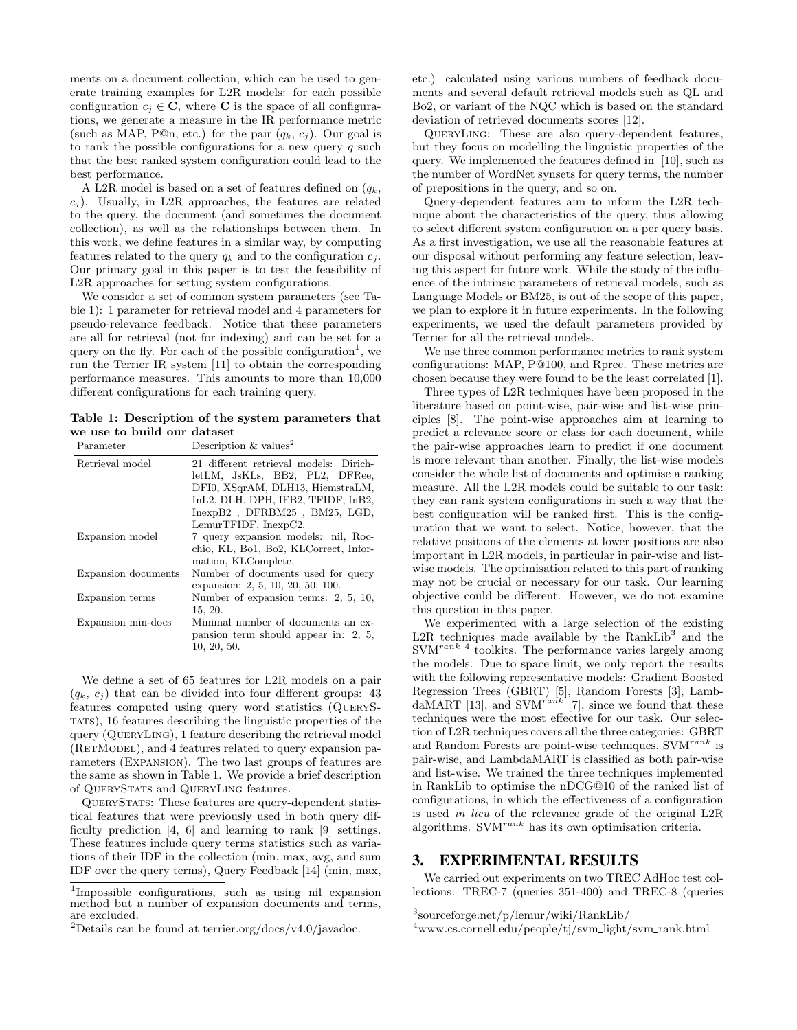ments on a document collection, which can be used to generate training examples for L2R models: for each possible configuration  $c_i \in \mathbb{C}$ , where  $\mathbb{C}$  is the space of all configurations, we generate a measure in the IR performance metric (such as MAP, P@n, etc.) for the pair  $(q_k, c_j)$ . Our goal is to rank the possible configurations for a new query  $q$  such that the best ranked system configuration could lead to the best performance.

A L2R model is based on a set of features defined on  $(q_k,$  $c_i$ ). Usually, in L2R approaches, the features are related to the query, the document (and sometimes the document collection), as well as the relationships between them. In this work, we define features in a similar way, by computing features related to the query  $q_k$  and to the configuration  $c_j$ . Our primary goal in this paper is to test the feasibility of L2R approaches for setting system configurations.

We consider a set of common system parameters (see Table 1): 1 parameter for retrieval model and 4 parameters for pseudo-relevance feedback. Notice that these parameters are all for retrieval (not for indexing) and can be set for a query on the fly. For each of the possible configuration<sup>1</sup>, we run the Terrier IR system [11] to obtain the corresponding performance measures. This amounts to more than 10,000 different configurations for each training query.

Table 1: Description of the system parameters that we use to build our dataset

| Parameter           | Description & values <sup>2</sup>                                                                                                                                                  |  |  |  |  |
|---------------------|------------------------------------------------------------------------------------------------------------------------------------------------------------------------------------|--|--|--|--|
| Retrieval model     | 21 different retrieval models: Dirich-<br>letLM, JsKLs, BB2, PL2, DFRee,<br>DFI0, XSqrAM, DLH13, HiemstraLM,<br>InL2, DLH, DPH, IFB2, TFIDF, InB2,<br>InexpB2, DFRBM25, BM25, LGD, |  |  |  |  |
| Expansion model     | LemurTFIDF, InexpC2.<br>7 query expansion models: nil, Roc-<br>chio, KL, Bo1, Bo2, KLCorrect, Infor-<br>mation, KLComplete.                                                        |  |  |  |  |
| Expansion documents | Number of documents used for query<br>expansion: 2, 5, 10, 20, 50, 100.                                                                                                            |  |  |  |  |
| Expansion terms     | Number of expansion terms: 2, 5, 10,<br>15, 20.                                                                                                                                    |  |  |  |  |
| Expansion min-docs  | Minimal number of documents an ex-<br>pansion term should appear in: $2, 5,$<br>10, 20, 50.                                                                                        |  |  |  |  |

We define a set of 65 features for L2R models on a pair  $(q_k, c_i)$  that can be divided into four different groups: 43 features computed using query word statistics (QueryStats), 16 features describing the linguistic properties of the query (QueryLing), 1 feature describing the retrieval model (RETMODEL), and 4 features related to query expansion parameters (Expansion). The two last groups of features are the same as shown in Table 1. We provide a brief description of QueryStats and QueryLing features.

QueryStats: These features are query-dependent statistical features that were previously used in both query difficulty prediction [4, 6] and learning to rank [9] settings. These features include query terms statistics such as variations of their IDF in the collection (min, max, avg, and sum IDF over the query terms), Query Feedback [14] (min, max, etc.) calculated using various numbers of feedback documents and several default retrieval models such as QL and Bo2, or variant of the NQC which is based on the standard deviation of retrieved documents scores [12].

QueryLing: These are also query-dependent features, but they focus on modelling the linguistic properties of the query. We implemented the features defined in [10], such as the number of WordNet synsets for query terms, the number of prepositions in the query, and so on.

Query-dependent features aim to inform the L2R technique about the characteristics of the query, thus allowing to select different system configuration on a per query basis. As a first investigation, we use all the reasonable features at our disposal without performing any feature selection, leaving this aspect for future work. While the study of the influence of the intrinsic parameters of retrieval models, such as Language Models or BM25, is out of the scope of this paper, we plan to explore it in future experiments. In the following experiments, we used the default parameters provided by Terrier for all the retrieval models.

We use three common performance metrics to rank system configurations: MAP, P@100, and Rprec. These metrics are chosen because they were found to be the least correlated [1].

Three types of L2R techniques have been proposed in the literature based on point-wise, pair-wise and list-wise principles [8]. The point-wise approaches aim at learning to predict a relevance score or class for each document, while the pair-wise approaches learn to predict if one document is more relevant than another. Finally, the list-wise models consider the whole list of documents and optimise a ranking measure. All the L2R models could be suitable to our task: they can rank system configurations in such a way that the best configuration will be ranked first. This is the configuration that we want to select. Notice, however, that the relative positions of the elements at lower positions are also important in L2R models, in particular in pair-wise and listwise models. The optimisation related to this part of ranking may not be crucial or necessary for our task. Our learning objective could be different. However, we do not examine this question in this paper.

We experimented with a large selection of the existing  $L2R$  techniques made available by the RankLib<sup>3</sup> and the  $\text{SVM}^{rank\ 4}$  toolkits. The performance varies largely among the models. Due to space limit, we only report the results with the following representative models: Gradient Boosted Regression Trees (GBRT) [5], Random Forests [3], LambdaMART [13], and SVM<sup>rank</sup> [7], since we found that these techniques were the most effective for our task. Our selection of L2R techniques covers all the three categories: GBRT and Random Forests are point-wise techniques,  $\text{SVM}^{rank}$  is pair-wise, and LambdaMART is classified as both pair-wise and list-wise. We trained the three techniques implemented in RankLib to optimise the nDCG@10 of the ranked list of configurations, in which the effectiveness of a configuration is used in lieu of the relevance grade of the original L2R algorithms.  $\text{SVM}^{rank}$  has its own optimisation criteria.

# 3. EXPERIMENTAL RESULTS

We carried out experiments on two TREC AdHoc test collections: TREC-7 (queries 351-400) and TREC-8 (queries

<sup>1</sup> Impossible configurations, such as using nil expansion method but a number of expansion documents and terms, are excluded.

<sup>&</sup>lt;sup>2</sup>Details can be found at terrier.org/docs/v4.0/javadoc.

<sup>3</sup> sourceforge.net/p/lemur/wiki/RankLib/

<sup>4</sup>www.cs.cornell.edu/people/tj/svm light/svm rank.html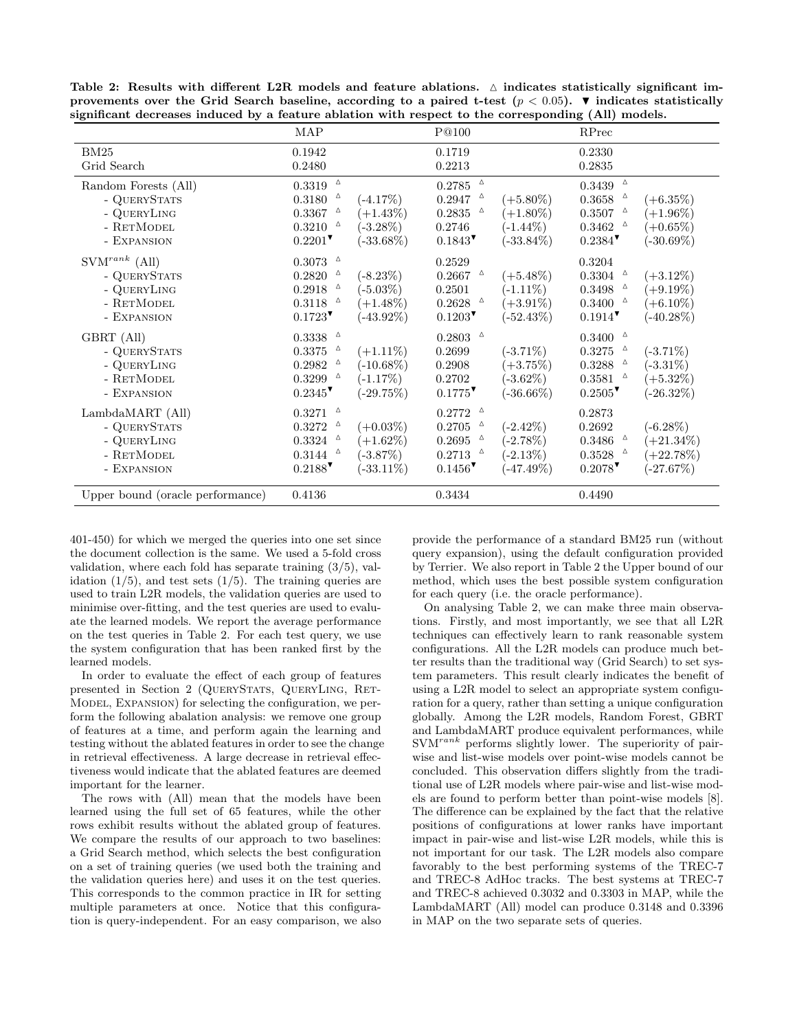|                                                                                       | MAP                                                                                                                     |                                                           | P@100                                                                                                                                      |                                                           | RPrec                                                                                                                   |                                                           |
|---------------------------------------------------------------------------------------|-------------------------------------------------------------------------------------------------------------------------|-----------------------------------------------------------|--------------------------------------------------------------------------------------------------------------------------------------------|-----------------------------------------------------------|-------------------------------------------------------------------------------------------------------------------------|-----------------------------------------------------------|
| BM25<br>Grid Search                                                                   | 0.1942<br>0.2480                                                                                                        |                                                           | 0.1719<br>0.2213                                                                                                                           |                                                           | 0.2330<br>0.2835                                                                                                        |                                                           |
| Random Forests (All)<br>- QUERYSTATS<br>- QUERYLING<br>- RETMODEL<br>- EXPANSION      | $0.3319$ $~^{\rm \Delta}$<br>$0.3180$ $^{\circ}$<br>$0.3367$ $^{\circ}$<br>$0.3210$ $^{\circ}$<br>$0.2201$ <sup>V</sup> | $(-4.17%)$<br>$(+1.43%)$<br>$(-3.28\%)$<br>$(-33.68\%)$   | $\Delta$<br>$0.2785\,$<br>$\Delta$<br>0.2947<br>0.2835<br>Δ<br>0.2746<br>$0.1843$ <sup>V</sup>                                             | $(+5.80\%)$<br>$(+1.80\%)$<br>$(-1.44\%)$<br>$(-33.84\%)$ | $0.3439$ $~^{\rm \Delta}$<br>$0.3658$ $^{\circ}$<br>$0.3507$ $^{\circ}$<br>$0.3462$ $^{\circ}$<br>$0.2384$ <sup>V</sup> | $(+6.35\%)$<br>$(+1.96\%)$<br>$(+0.65\%)$<br>$(-30.69\%)$ |
| $\text{SVM}^{rank}$ (All)<br>- QUERYSTATS<br>- QUERYLING<br>- RETMODEL<br>- EXPANSION | $0.3073$ $~^{\Delta}$<br>$0.2820$ $^{\circ}$<br>$0.2918$ $~^{\Delta}$<br>$0.3118$ $~^{\Delta}$<br>$0.1723$ <sup>V</sup> | $(-8.23\%)$<br>$(-5.03\%)$<br>$(+1.48\%)$<br>$(-43.92\%)$ | 0.2529<br>$0.2667$ $^{\circ}$<br>0.2501<br>$0.2628$ $^{\circ}$<br>$0.1203$ <sup>V</sup>                                                    | $(+5.48\%)$<br>$(-1.11\%)$<br>$(+3.91\%)$<br>$(-52.43\%)$ | 0.3204<br>$0.3304$ $^{\circ}$<br>$0.3498$ $^{\circ}$<br>$0.3400$ $^{\circ}$<br>$0.1914$ <sup>V</sup>                    | $(+3.12\%)$<br>$(+9.19\%)$<br>$(+6.10\%)$<br>$(-40.28\%)$ |
| GBRT (All)<br>- QUERYSTATS<br>- QUERYLING<br>- RETMODEL<br>- EXPANSION                | $0.3338$ $~^{\Delta}$<br>$0.3375$ $~^{\Delta}$<br>$0.2982$ $^{\circ}$<br>$0.3299$ $^{\circ}$<br>$0.2345$ <sup>V</sup>   | $(+1.11\%)$<br>$(-10.68\%)$<br>$(-1.17%)$<br>$(-29.75%)$  | $0.2803$ $^{-\vartriangle}$<br>0.2699<br>0.2908<br>0.2702<br>$0.1775$ <sup>V</sup>                                                         | $(-3.71\%)$<br>$(+3.75%)$<br>$(-3.62\%)$<br>$(-36.66\%)$  | $0.3400$ $~^{\Delta}$<br>$0.3275$ $^{\circ}$<br>$0.3288$ $^{\circ}$<br>$0.3581$ $^{\circ}$<br>$0.2505$ <sup>V</sup>     | $(-3.71\%)$<br>$(-3.31\%)$<br>$(+5.32\%)$<br>$(-26.32\%)$ |
| LambdaMART (All)<br>- QUERYSTATS<br>- QUERYLING<br>- RETMODEL<br>- EXPANSION          | $0.3271$ $~^{\Delta}$<br>$0.3272$ $^{\circ}$<br>$0.3324$ $\circ$<br>$0.3144$ $^{\circ}$<br>$0.2188$                     | $(+0.03\%)$<br>$(+1.62\%)$<br>$(-3.87\%)$<br>$(-33.11\%)$ | $\Delta$<br>0.2772<br>$\Delta$<br>0.2705<br>$\triangle$<br>0.2695<br>$0.2713$ $^{\circ}$<br>$0.1456$ <sup><math>\triangledown</math></sup> | $(-2.42\%)$<br>$(-2.78\%)$<br>$(-2.13\%)$<br>$(-47.49\%)$ | 0.2873<br>0.2692<br>$0.3486$ $~^{\Delta}$<br>$0.3528$ $^{\circ}$<br>$0.2078$ <sup>V</sup>                               | $(-6.28\%)$<br>$(+21.34\%)$<br>$(+22.78%)$<br>$(-27.67%)$ |
| Unner bound (oracle performance)                                                      | 0.4136                                                                                                                  |                                                           | 0.3434                                                                                                                                     |                                                           | 0.4490                                                                                                                  |                                                           |

Table 2: Results with different L2R models and feature ablations.  $\triangle$  indicates statistically significant improvements over the Grid Search baseline, according to a paired t-test ( $p < 0.05$ ).  $\blacktriangledown$  indicates statistically

401-450) for which we merged the queries into one set since the document collection is the same. We used a 5-fold cross validation, where each fold has separate training  $(3/5)$ , validation  $(1/5)$ , and test sets  $(1/5)$ . The training queries are used to train L2R models, the validation queries are used to minimise over-fitting, and the test queries are used to evaluate the learned models. We report the average performance on the test queries in Table 2. For each test query, we use the system configuration that has been ranked first by the learned models.

In order to evaluate the effect of each group of features presented in Section 2 (QueryStats, QueryLing, Ret-Model, Expansion) for selecting the configuration, we perform the following abalation analysis: we remove one group of features at a time, and perform again the learning and testing without the ablated features in order to see the change in retrieval effectiveness. A large decrease in retrieval effectiveness would indicate that the ablated features are deemed important for the learner.

The rows with (All) mean that the models have been learned using the full set of 65 features, while the other rows exhibit results without the ablated group of features. We compare the results of our approach to two baselines: a Grid Search method, which selects the best configuration on a set of training queries (we used both the training and the validation queries here) and uses it on the test queries. This corresponds to the common practice in IR for setting multiple parameters at once. Notice that this configuration is query-independent. For an easy comparison, we also provide the performance of a standard BM25 run (without query expansion), using the default configuration provided by Terrier. We also report in Table 2 the Upper bound of our method, which uses the best possible system configuration for each query (i.e. the oracle performance).

On analysing Table 2, we can make three main observations. Firstly, and most importantly, we see that all L2R techniques can effectively learn to rank reasonable system configurations. All the L2R models can produce much better results than the traditional way (Grid Search) to set system parameters. This result clearly indicates the benefit of using a L2R model to select an appropriate system configuration for a query, rather than setting a unique configuration globally. Among the L2R models, Random Forest, GBRT and LambdaMART produce equivalent performances, while  $\text{SVM}^{rank}$  performs slightly lower. The superiority of pairwise and list-wise models over point-wise models cannot be concluded. This observation differs slightly from the traditional use of L2R models where pair-wise and list-wise models are found to perform better than point-wise models [8]. The difference can be explained by the fact that the relative positions of configurations at lower ranks have important impact in pair-wise and list-wise L2R models, while this is not important for our task. The L2R models also compare favorably to the best performing systems of the TREC-7 and TREC-8 AdHoc tracks. The best systems at TREC-7 and TREC-8 achieved 0.3032 and 0.3303 in MAP, while the LambdaMART (All) model can produce 0.3148 and 0.3396 in MAP on the two separate sets of queries.